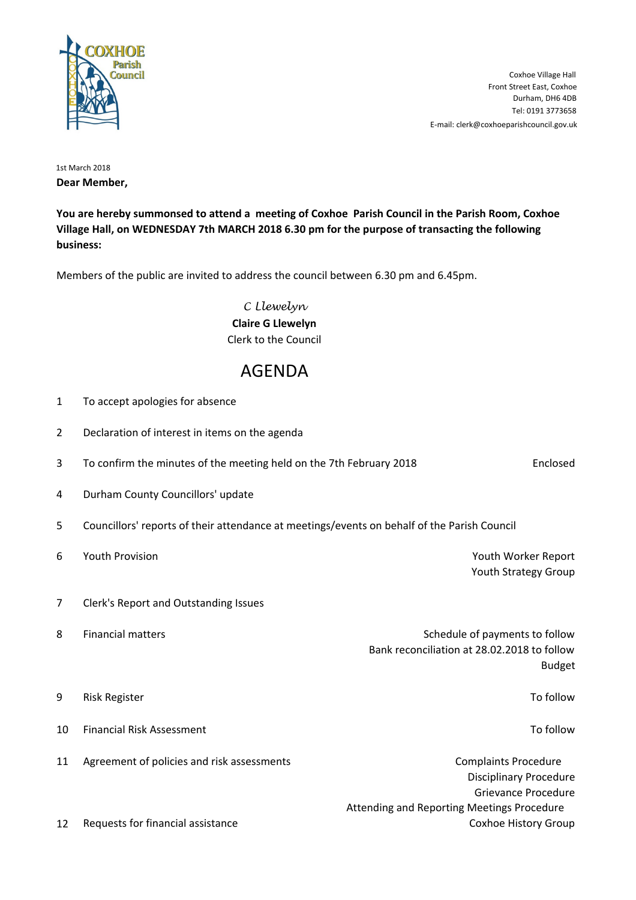

E-mail: clerk@coxhoeparishcouncil.gov.uk Tel: 0191 3773658 Durham, DH6 4DB Front Street East, Coxhoe Coxhoe Village Hall

1st March 2018 **Dear Member,**

**You are hereby summonsed to attend a meeting of Coxhoe Parish Council in the Parish Room, Coxhoe Village Hall, on WEDNESDAY 7th MARCH 2018 6.30 pm for the purpose of transacting the following business:**

Members of the public are invited to address the council between 6.30 pm and 6.45pm.

C Llewelyn **Claire G Llewelyn** Clerk to the Council

## AGENDA

| 1              | To accept apologies for absence                                                             |                                            |                                                                                                |
|----------------|---------------------------------------------------------------------------------------------|--------------------------------------------|------------------------------------------------------------------------------------------------|
| $\overline{2}$ | Declaration of interest in items on the agenda                                              |                                            |                                                                                                |
| 3              | To confirm the minutes of the meeting held on the 7th February 2018                         |                                            | Enclosed                                                                                       |
| 4              | Durham County Councillors' update                                                           |                                            |                                                                                                |
| 5              | Councillors' reports of their attendance at meetings/events on behalf of the Parish Council |                                            |                                                                                                |
| 6              | Youth Provision                                                                             |                                            | Youth Worker Report<br>Youth Strategy Group                                                    |
| $\overline{7}$ | Clerk's Report and Outstanding Issues                                                       |                                            |                                                                                                |
| 8              | <b>Financial matters</b>                                                                    |                                            | Schedule of payments to follow<br>Bank reconciliation at 28.02.2018 to follow<br><b>Budget</b> |
| 9              | <b>Risk Register</b>                                                                        |                                            | To follow                                                                                      |
| 10             | <b>Financial Risk Assessment</b>                                                            |                                            | To follow                                                                                      |
| 11             | Agreement of policies and risk assessments                                                  | Attending and Reporting Meetings Procedure | <b>Complaints Procedure</b><br><b>Disciplinary Procedure</b><br>Grievance Procedure            |
| 12             | Requests for financial assistance                                                           |                                            | Coxhoe History Group                                                                           |
|                |                                                                                             |                                            |                                                                                                |